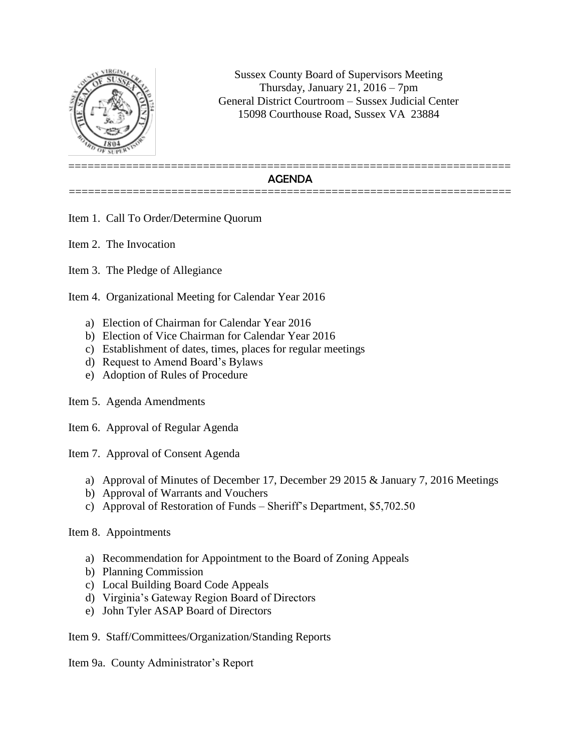

Sussex County Board of Supervisors Meeting Thursday, January 21,  $2016 - 7$ pm General District Courtroom – Sussex Judicial Center 15098 Courthouse Road, Sussex VA 23884

## ===================================================================== AGENDA =====================================================================

Item 1. Call To Order/Determine Quorum

Item 2. The Invocation

Item 3. The Pledge of Allegiance

Item 4. Organizational Meeting for Calendar Year 2016

- a) Election of Chairman for Calendar Year 2016
- b) Election of Vice Chairman for Calendar Year 2016
- c) Establishment of dates, times, places for regular meetings
- d) Request to Amend Board's Bylaws
- e) Adoption of Rules of Procedure
- Item 5. Agenda Amendments
- Item 6. Approval of Regular Agenda

Item 7. Approval of Consent Agenda

- a) Approval of Minutes of December 17, December 29 2015 & January 7, 2016 Meetings
- b) Approval of Warrants and Vouchers
- c) Approval of Restoration of Funds Sheriff's Department, \$5,702.50

## Item 8. Appointments

- a) Recommendation for Appointment to the Board of Zoning Appeals
- b) Planning Commission
- c) Local Building Board Code Appeals
- d) Virginia's Gateway Region Board of Directors
- e) John Tyler ASAP Board of Directors

Item 9. Staff/Committees/Organization/Standing Reports

Item 9a. County Administrator's Report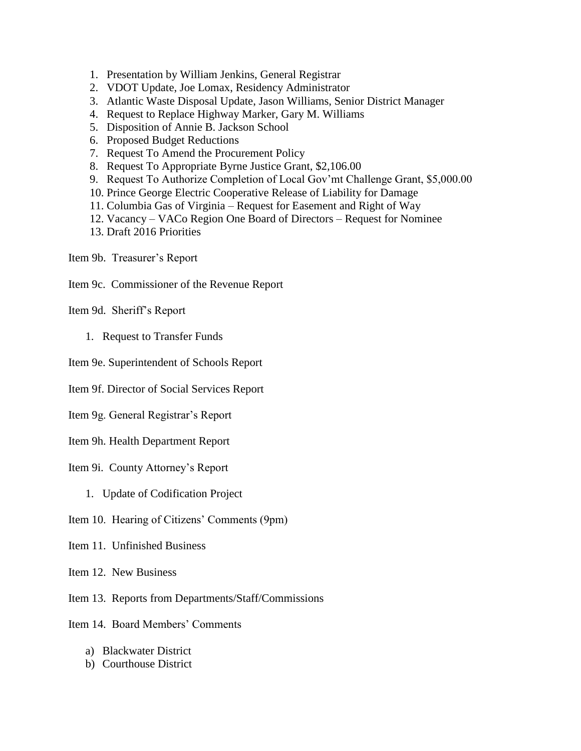- 1. Presentation by William Jenkins, General Registrar
- 2. VDOT Update, Joe Lomax, Residency Administrator
- 3. Atlantic Waste Disposal Update, Jason Williams, Senior District Manager
- 4. Request to Replace Highway Marker, Gary M. Williams
- 5. Disposition of Annie B. Jackson School
- 6. Proposed Budget Reductions
- 7. Request To Amend the Procurement Policy
- 8. Request To Appropriate Byrne Justice Grant, \$2,106.00
- 9. Request To Authorize Completion of Local Gov'mt Challenge Grant, \$5,000.00
- 10. Prince George Electric Cooperative Release of Liability for Damage
- 11. Columbia Gas of Virginia Request for Easement and Right of Way
- 12. Vacancy VACo Region One Board of Directors Request for Nominee
- 13. Draft 2016 Priorities

Item 9b. Treasurer's Report

Item 9c. Commissioner of the Revenue Report

Item 9d. Sheriff's Report

- 1. Request to Transfer Funds
- Item 9e. Superintendent of Schools Report

Item 9f. Director of Social Services Report

Item 9g. General Registrar's Report

Item 9h. Health Department Report

Item 9i. County Attorney's Report

- 1. Update of Codification Project
- Item 10. Hearing of Citizens' Comments (9pm)
- Item 11. Unfinished Business

Item 12. New Business

Item 13. Reports from Departments/Staff/Commissions

Item 14. Board Members' Comments

- a) Blackwater District
- b) Courthouse District